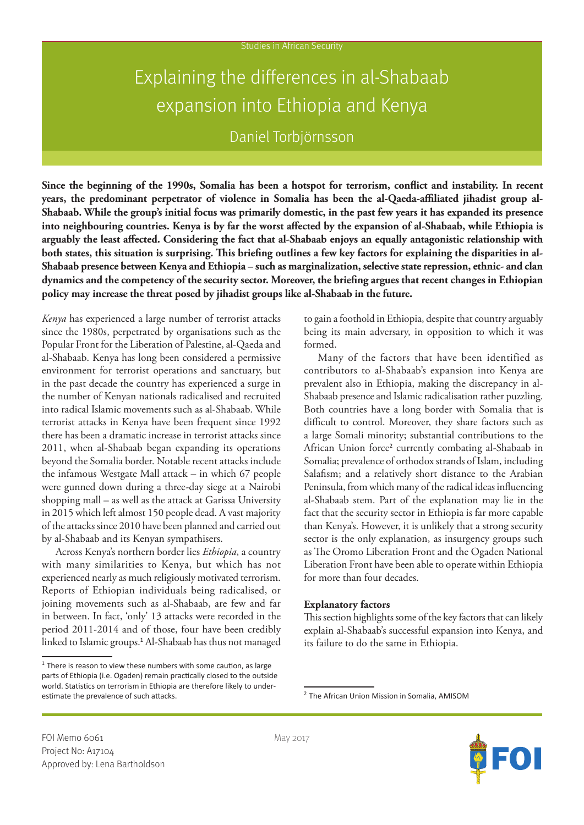# Explaining the differences in al-Shabaab expansion into Ethiopia and Kenya

Daniel Torbjörnsson

**Since the beginning of the 1990s, Somalia has been a hotspot for terrorism, conflict and instability. In recent years, the predominant perpetrator of violence in Somalia has been the al-Qaeda-affiliated jihadist group al-Shabaab. While the group's initial focus was primarily domestic, in the past few years it has expanded its presence into neighbouring countries. Kenya is by far the worst affected by the expansion of al-Shabaab, while Ethiopia is arguably the least affected. Considering the fact that al-Shabaab enjoys an equally antagonistic relationship with both states, this situation is surprising. This briefing outlines a few key factors for explaining the disparities in al-Shabaab presence between Kenya and Ethiopia – such as marginalization, selective state repression, ethnic- and clan dynamics and the competency of the security sector. Moreover, the briefing argues that recent changes in Ethiopian policy may increase the threat posed by jihadist groups like al-Shabaab in the future.**

*Kenya* has experienced a large number of terrorist attacks since the 1980s, perpetrated by organisations such as the Popular Front for the Liberation of Palestine, al-Qaeda and al-Shabaab. Kenya has long been considered a permissive environment for terrorist operations and sanctuary, but in the past decade the country has experienced a surge in the number of Kenyan nationals radicalised and recruited into radical Islamic movements such as al-Shabaab. While terrorist attacks in Kenya have been frequent since 1992 there has been a dramatic increase in terrorist attacks since 2011, when al-Shabaab began expanding its operations beyond the Somalia border. Notable recent attacks include the infamous Westgate Mall attack – in which 67 people were gunned down during a three-day siege at a Nairobi shopping mall – as well as the attack at Garissa University in 2015 which left almost 150 people dead. A vast majority of the attacks since 2010 have been planned and carried out by al-Shabaab and its Kenyan sympathisers.

Across Kenya's northern border lies *Ethiopia*, a country with many similarities to Kenya, but which has not experienced nearly as much religiously motivated terrorism. Reports of Ethiopian individuals being radicalised, or joining movements such as al-Shabaab, are few and far in between. In fact, 'only' 13 attacks were recorded in the period 2011-2014 and of those, four have been credibly linked to Islamic groups.<sup>1</sup> Al-Shabaab has thus not managed to gain a foothold in Ethiopia, despite that country arguably being its main adversary, in opposition to which it was formed.

Many of the factors that have been identified as contributors to al-Shabaab's expansion into Kenya are prevalent also in Ethiopia, making the discrepancy in al-Shabaab presence and Islamic radicalisation rather puzzling. Both countries have a long border with Somalia that is difficult to control. Moreover, they share factors such as a large Somali minority; substantial contributions to the African Union force<sup>2</sup> currently combating al-Shabaab in Somalia; prevalence of orthodox strands of Islam, including Salafism; and a relatively short distance to the Arabian Peninsula, from which many of the radical ideas influencing al-Shabaab stem. Part of the explanation may lie in the fact that the security sector in Ethiopia is far more capable than Kenya's. However, it is unlikely that a strong security sector is the only explanation, as insurgency groups such as The Oromo Liberation Front and the Ogaden National Liberation Front have been able to operate within Ethiopia for more than four decades.

#### **Explanatory factors**

This section highlights some of the key factors that can likely explain al-Shabaab's successful expansion into Kenya, and its failure to do the same in Ethiopia.



 $1$  There is reason to view these numbers with some caution, as large parts of Ethiopia (i.e. Ogaden) remain practically closed to the outside world. Statistics on terrorism in Ethiopia are therefore likely to underestimate the prevalence of such attacks.

<sup>2</sup> The African Union Mission in Somalia, AMISOM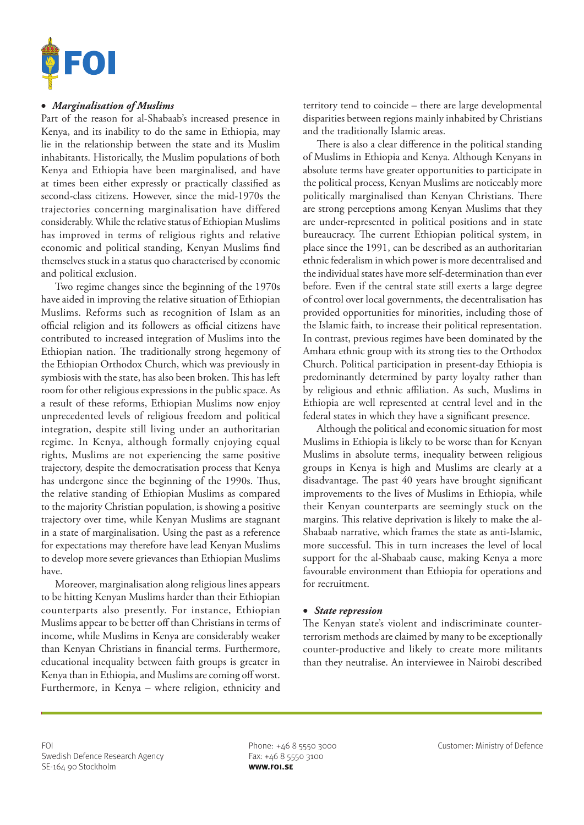

## • *Marginalisation of Muslims*

Part of the reason for al-Shabaab's increased presence in Kenya, and its inability to do the same in Ethiopia, may lie in the relationship between the state and its Muslim inhabitants. Historically, the Muslim populations of both Kenya and Ethiopia have been marginalised, and have at times been either expressly or practically classified as second-class citizens. However, since the mid-1970s the trajectories concerning marginalisation have differed considerably. While the relative status of Ethiopian Muslims has improved in terms of religious rights and relative economic and political standing, Kenyan Muslims find themselves stuck in a status quo characterised by economic and political exclusion.

Two regime changes since the beginning of the 1970s have aided in improving the relative situation of Ethiopian Muslims. Reforms such as recognition of Islam as an official religion and its followers as official citizens have contributed to increased integration of Muslims into the Ethiopian nation. The traditionally strong hegemony of the Ethiopian Orthodox Church, which was previously in symbiosis with the state, has also been broken. This has left room for other religious expressions in the public space. As a result of these reforms, Ethiopian Muslims now enjoy unprecedented levels of religious freedom and political integration, despite still living under an authoritarian regime. In Kenya, although formally enjoying equal rights, Muslims are not experiencing the same positive trajectory, despite the democratisation process that Kenya has undergone since the beginning of the 1990s. Thus, the relative standing of Ethiopian Muslims as compared to the majority Christian population, is showing a positive trajectory over time, while Kenyan Muslims are stagnant in a state of marginalisation. Using the past as a reference for expectations may therefore have lead Kenyan Muslims to develop more severe grievances than Ethiopian Muslims have.

Moreover, marginalisation along religious lines appears to be hitting Kenyan Muslims harder than their Ethiopian counterparts also presently. For instance, Ethiopian Muslims appear to be better off than Christians in terms of income, while Muslims in Kenya are considerably weaker than Kenyan Christians in financial terms. Furthermore, educational inequality between faith groups is greater in Kenya than in Ethiopia, and Muslims are coming off worst. Furthermore, in Kenya – where religion, ethnicity and

territory tend to coincide – there are large developmental disparities between regions mainly inhabited by Christians and the traditionally Islamic areas.

There is also a clear difference in the political standing of Muslims in Ethiopia and Kenya. Although Kenyans in absolute terms have greater opportunities to participate in the political process, Kenyan Muslims are noticeably more politically marginalised than Kenyan Christians. There are strong perceptions among Kenyan Muslims that they are under-represented in political positions and in state bureaucracy. The current Ethiopian political system, in place since the 1991, can be described as an authoritarian ethnic federalism in which power is more decentralised and the individual states have more self-determination than ever before. Even if the central state still exerts a large degree of control over local governments, the decentralisation has provided opportunities for minorities, including those of the Islamic faith, to increase their political representation. In contrast, previous regimes have been dominated by the Amhara ethnic group with its strong ties to the Orthodox Church. Political participation in present-day Ethiopia is predominantly determined by party loyalty rather than by religious and ethnic affiliation. As such, Muslims in Ethiopia are well represented at central level and in the federal states in which they have a significant presence.

Although the political and economic situation for most Muslims in Ethiopia is likely to be worse than for Kenyan Muslims in absolute terms, inequality between religious groups in Kenya is high and Muslims are clearly at a disadvantage. The past 40 years have brought significant improvements to the lives of Muslims in Ethiopia, while their Kenyan counterparts are seemingly stuck on the margins. This relative deprivation is likely to make the al-Shabaab narrative, which frames the state as anti-Islamic, more successful. This in turn increases the level of local support for the al-Shabaab cause, making Kenya a more favourable environment than Ethiopia for operations and for recruitment.

#### • *State repression*

The Kenyan state's violent and indiscriminate counterterrorism methods are claimed by many to be exceptionally counter-productive and likely to create more militants than they neutralise. An interviewee in Nairobi described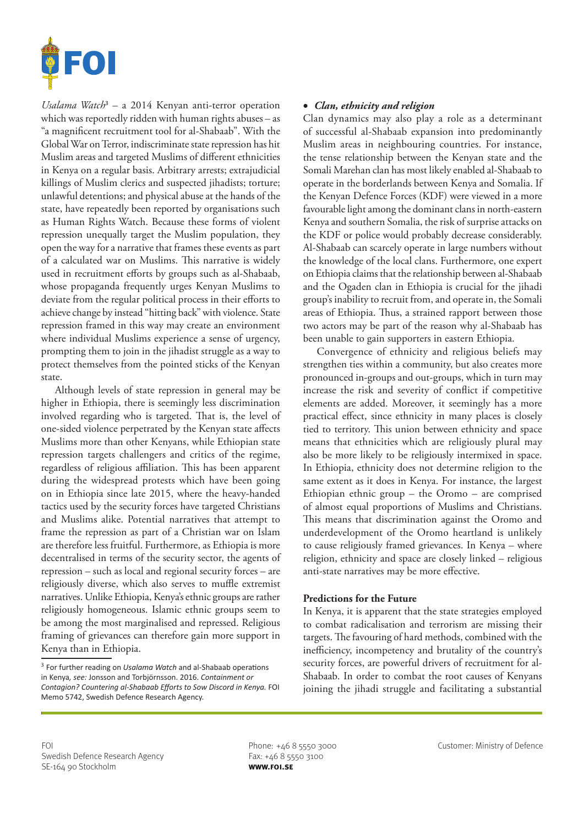

*Usalama Watch*<sup>3</sup> – a 2014 Kenyan anti-terror operation which was reportedly ridden with human rights abuses – as "a magnificent recruitment tool for al-Shabaab". With the Global War on Terror, indiscriminate state repression has hit Muslim areas and targeted Muslims of different ethnicities in Kenya on a regular basis. Arbitrary arrests; extrajudicial killings of Muslim clerics and suspected jihadists; torture; unlawful detentions; and physical abuse at the hands of the state, have repeatedly been reported by organisations such as Human Rights Watch. Because these forms of violent repression unequally target the Muslim population, they open the way for a narrative that frames these events as part of a calculated war on Muslims. This narrative is widely used in recruitment efforts by groups such as al-Shabaab, whose propaganda frequently urges Kenyan Muslims to deviate from the regular political process in their efforts to achieve change by instead "hitting back" with violence. State repression framed in this way may create an environment where individual Muslims experience a sense of urgency, prompting them to join in the jihadist struggle as a way to protect themselves from the pointed sticks of the Kenyan state.

Although levels of state repression in general may be higher in Ethiopia, there is seemingly less discrimination involved regarding who is targeted. That is, the level of one-sided violence perpetrated by the Kenyan state affects Muslims more than other Kenyans, while Ethiopian state repression targets challengers and critics of the regime, regardless of religious affiliation. This has been apparent during the widespread protests which have been going on in Ethiopia since late 2015, where the heavy-handed tactics used by the security forces have targeted Christians and Muslims alike. Potential narratives that attempt to frame the repression as part of a Christian war on Islam are therefore less fruitful. Furthermore, as Ethiopia is more decentralised in terms of the security sector, the agents of repression – such as local and regional security forces – are religiously diverse, which also serves to muffle extremist narratives. Unlike Ethiopia, Kenya's ethnic groups are rather religiously homogeneous. Islamic ethnic groups seem to be among the most marginalised and repressed. Religious framing of grievances can therefore gain more support in Kenya than in Ethiopia.

# • *Clan, ethnicity and religion*

Clan dynamics may also play a role as a determinant of successful al-Shabaab expansion into predominantly Muslim areas in neighbouring countries. For instance, the tense relationship between the Kenyan state and the Somali Marehan clan has most likely enabled al-Shabaab to operate in the borderlands between Kenya and Somalia. If the Kenyan Defence Forces (KDF) were viewed in a more favourable light among the dominant clans in north-eastern Kenya and southern Somalia, the risk of surprise attacks on the KDF or police would probably decrease considerably. Al-Shabaab can scarcely operate in large numbers without the knowledge of the local clans. Furthermore, one expert on Ethiopia claims that the relationship between al-Shabaab and the Ogaden clan in Ethiopia is crucial for the jihadi group's inability to recruit from, and operate in, the Somali areas of Ethiopia. Thus, a strained rapport between those two actors may be part of the reason why al-Shabaab has been unable to gain supporters in eastern Ethiopia.

Convergence of ethnicity and religious beliefs may strengthen ties within a community, but also creates more pronounced in-groups and out-groups, which in turn may increase the risk and severity of conflict if competitive elements are added. Moreover, it seemingly has a more practical effect, since ethnicity in many places is closely tied to territory. This union between ethnicity and space means that ethnicities which are religiously plural may also be more likely to be religiously intermixed in space. In Ethiopia, ethnicity does not determine religion to the same extent as it does in Kenya. For instance, the largest Ethiopian ethnic group – the Oromo – are comprised of almost equal proportions of Muslims and Christians. This means that discrimination against the Oromo and underdevelopment of the Oromo heartland is unlikely to cause religiously framed grievances. In Kenya – where religion, ethnicity and space are closely linked – religious anti-state narratives may be more effective.

## **Predictions for the Future**

In Kenya, it is apparent that the state strategies employed to combat radicalisation and terrorism are missing their targets. The favouring of hard methods, combined with the inefficiency, incompetency and brutality of the country's security forces, are powerful drivers of recruitment for al-Shabaab. In order to combat the root causes of Kenyans joining the jihadi struggle and facilitating a substantial

<sup>3</sup> For further reading on *Usalama Watch* and al-Shabaab operations in Kenya*, see:* Jonsson and Torbjörnsson. 2016. *Containment or Contagion? Countering al-Shabaab Efforts to Sow Discord in Kenya.* FOI Memo 5742, Swedish Defence Research Agency.